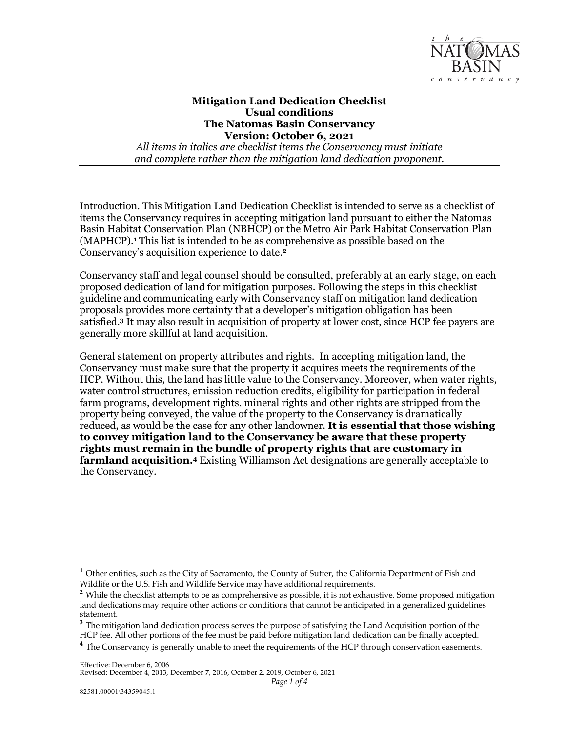

## **Mitigation Land Dedication Checklist Version: October 6, 2021**   *All items in italics are checklist items the Conservancy must initiate*  **Usual conditions The Natomas Basin Conservancy**

*and complete rather than the mitigation land dedication proponent.* 

 Basin Habitat Conservation Plan (NBHCP) or the Metro Air Park Habitat Conservation Plan (MAPHCP).**<sup>1</sup>** This list is intended to be as comprehensive as possible based on the Introduction. This Mitigation Land Dedication Checklist is intended to serve as a checklist of items the Conservancy requires in accepting mitigation land pursuant to either the Natomas Conservancy's acquisition experience to date.**<sup>2</sup>**

 Conservancy staff and legal counsel should be consulted, preferably at an early stage, on each proposed dedication of land for mitigation purposes. Following the steps in this checklist guideline and communicating early with Conservancy staff on mitigation land dedication satisfied.**<sup>3</sup>** It may also result in acquisition of property at lower cost, since HCP fee payers are generally more skillful at land acquisition. proposals provides more certainty that a developer's mitigation obligation has been

 General statement on property attributes and rights. In accepting mitigation land, the Conservancy must make sure that the property it acquires meets the requirements of the HCP. Without this, the land has little value to the Conservancy. Moreover, when water rights, water control structures, emission reduction credits, eligibility for participation in federal farm programs, development rights, mineral rights and other rights are stripped from the  reduced, as would be the case for any other landowner. **It is essential that those wishing rights must remain in the bundle of property rights that are customary in farmland acquisition.4** Existing Williamson Act designations are generally acceptable to property being conveyed, the value of the property to the Conservancy is dramatically **to convey mitigation land to the Conservancy be aware that these property**  the Conservancy.

<sup>&</sup>lt;sup>1</sup> Other entities, such as the City of Sacramento, the County of Sutter, the California Department of Fish and Wildlife or the U.S. Fish and Wildlife Service may have additional requirements.

<sup>&</sup>lt;sup>2</sup> While the checklist attempts to be as comprehensive as possible, it is not exhaustive. Some proposed mitigation land dedications may require other actions or conditions that cannot be anticipated in a generalized guidelines statement.

 **<sup>3</sup>**The mitigation land dedication process serves the purpose of satisfying the Land Acquisition portion of the HCP fee. All other portions of the fee must be paid before mitigation land dedication can be finally accepted. <sup>4</sup> The Conservancy is generally unable to meet the requirements of the HCP through conservation easements.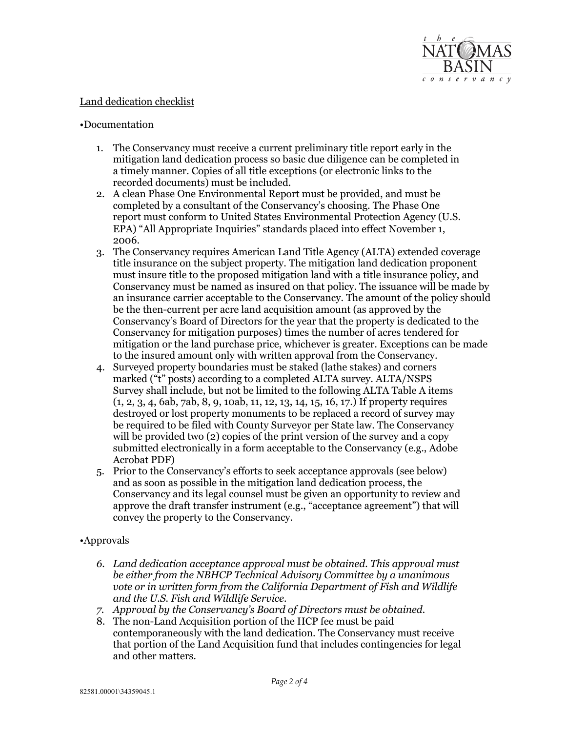

## Land dedication checklist

## •Documentation

- 1. The Conservancy must receive a current preliminary title report early in the mitigation land dedication process so basic due diligence can be completed in a timely manner. Copies of all title exceptions (or electronic links to the recorded documents) must be included.
- 2. A clean Phase One Environmental Report must be provided, and must be completed by a consultant of the Conservancy's choosing. The Phase One report must conform to United States Environmental Protection Agency (U.S. EPA) "All Appropriate Inquiries" standards placed into effect November 1, 2006.
- 3. The Conservancy requires American Land Title Agency (ALTA) extended coverage must insure title to the proposed mitigation land with a title insurance policy, and Conservancy must be named as insured on that policy. The issuance will be made by an insurance carrier acceptable to the Conservancy. The amount of the policy should be the then-current per acre land acquisition amount (as approved by the Conservancy's Board of Directors for the year that the property is dedicated to the mitigation or the land purchase price, whichever is greater. Exceptions can be made title insurance on the subject property. The mitigation land dedication proponent Conservancy for mitigation purposes) times the number of acres tendered for to the insured amount only with written approval from the Conservancy.
- 4. Surveyed property boundaries must be staked (lathe stakes) and corners marked ("t" posts) according to a completed ALTA survey. ALTA/NSPS Survey shall include, but not be limited to the following ALTA Table A items destroyed or lost property monuments to be replaced a record of survey may be required to be filed with County Surveyor per State law. The Conservancy will be provided two (2) copies of the print version of the survey and a copy submitted electronically in a form acceptable to the Conservancy (e.g., Adobe (1, 2, 3, 4, 6ab, 7ab, 8, 9, 10ab, 11, 12, 13, 14, 15, 16, 17.) If property requires Acrobat PDF)
- 5. Prior to the Conservancy's efforts to seek acceptance approvals (see below) and as soon as possible in the mitigation land dedication process, the Conservancy and its legal counsel must be given an opportunity to review and approve the draft transfer instrument (e.g., "acceptance agreement") that will convey the property to the Conservancy.

## •Approvals

- *6. Land dedication acceptance approval must be obtained. This approval must be either from the NBHCP Technical Advisory Committee by a unanimous vote or in written form from the California Department of Fish and Wildlife and the U.S. Fish and Wildlife Service.*
- *7. Approval by the Conservancy's Board of Directors must be obtained.*
- 8. The non-Land Acquisition portion of the HCP fee must be paid contemporaneously with the land dedication. The Conservancy must receive that portion of the Land Acquisition fund that includes contingencies for legal and other matters.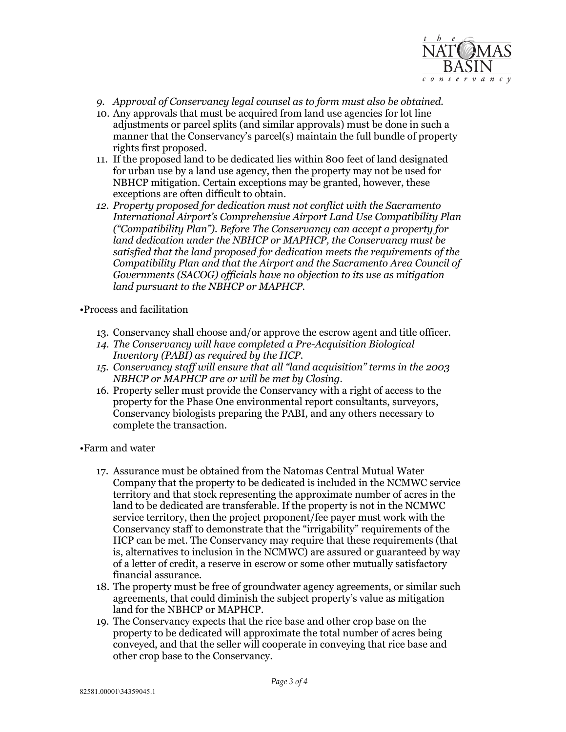

- *9. Approval of Conservancy legal counsel as to form must also be obtained.*
- 10. Any approvals that must be acquired from land use agencies for lot line adjustments or parcel splits (and similar approvals) must be done in such a manner that the Conservancy's parcel(s) maintain the full bundle of property rights first proposed.
- 11. If the proposed land to be dedicated lies within 800 feet of land designated NBHCP mitigation. Certain exceptions may be granted, however, these exceptions are often difficult to obtain. for urban use by a land use agency, then the property may not be used for
- *12. Property proposed for dedication must not conflict with the Sacramento ("Compatibility Plan"). Before The Conservancy can accept a property for satisfied that the land proposed for dedication meets the requirements of the International Airport's Comprehensive Airport Land Use Compatibility Plan land dedication under the NBHCP or MAPHCP, the Conservancy must be Compatibility Plan and that the Airport and the Sacramento Area Council of Governments (SACOG) officials have no objection to its use as mitigation land pursuant to the NBHCP or MAPHCP.*

•Process and facilitation

- 13. Conservancy shall choose and/or approve the escrow agent and title officer.
- *14. The Conservancy will have completed a Pre-Acquisition Biological Inventory (PABI) as required by the HCP.*
- *15. Conservancy staff will ensure that all "land acquisition" terms in the 2003 NBHCP or MAPHCP are or will be met by Closing.*
- 16. Property seller must provide the Conservancy with a right of access to the property for the Phase One environmental report consultants, surveyors, Conservancy biologists preparing the PABI, and any others necessary to complete the transaction.

•Farm and water

- 17. Assurance must be obtained from the Natomas Central Mutual Water Company that the property to be dedicated is included in the NCMWC service service territory, then the project proponent/fee payer must work with the Conservancy staff to demonstrate that the "irrigability" requirements of the HCP can be met. The Conservancy may require that these requirements (that of a letter of credit, a reserve in escrow or some other mutually satisfactory financial assurance. territory and that stock representing the approximate number of acres in the land to be dedicated are transferable. If the property is not in the NCMWC is, alternatives to inclusion in the NCMWC) are assured or guaranteed by way
- financial assurance. 18. The property must be free of groundwater agency agreements, or similar such agreements, that could diminish the subject property's value as mitigation land for the NBHCP or MAPHCP.
- 19. The Conservancy expects that the rice base and other crop base on the other crop base to the Conservancy. property to be dedicated will approximate the total number of acres being conveyed, and that the seller will cooperate in conveying that rice base and